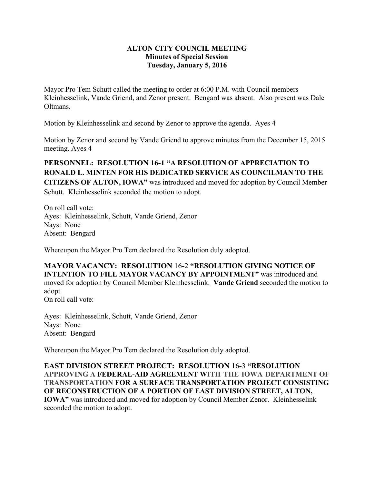## **ALTON CITY COUNCIL MEETING Minutes of Special Session Tuesday, January 5, 2016**

Mayor Pro Tem Schutt called the meeting to order at 6:00 P.M. with Council members Kleinhesselink, Vande Griend, and Zenor present. Bengard was absent. Also present was Dale **Oltmans** 

Motion by Kleinhesselink and second by Zenor to approve the agenda. Ayes 4

Motion by Zenor and second by Vande Griend to approve minutes from the December 15, 2015 meeting. Ayes 4

**PERSONNEL: RESOLUTION 16-1 "A RESOLUTION OF APPRECIATION TO RONALD L. MINTEN FOR HIS DEDICATED SERVICE AS COUNCILMAN TO THE CITIZENS OF ALTON, IOWA"** was introduced and moved for adoption by Council Member Schutt. Kleinhesselink seconded the motion to adopt.

On roll call vote: Ayes: Kleinhesselink, Schutt, Vande Griend, Zenor Nays: None Absent: Bengard

Whereupon the Mayor Pro Tem declared the Resolution duly adopted.

**MAYOR VACANCY: RESOLUTION** 16**-**2 **"RESOLUTION GIVING NOTICE OF INTENTION TO FILL MAYOR VACANCY BY APPOINTMENT"** was introduced and moved for adoption by Council Member Kleinhesselink. **Vande Griend** seconded the motion to adopt. On roll call vote:

Ayes: Kleinhesselink, Schutt, Vande Griend, Zenor Nays: None Absent: Bengard

Whereupon the Mayor Pro Tem declared the Resolution duly adopted.

**EAST DIVISION STREET PROJECT: RESOLUTION** 16**-**3 **"RESOLUTION APPROVING A FEDERAL-AID AGREEMENT WITH THE IOWA DEPARTMENT OF TRANSPORTATION FOR A SURFACE TRANSPORTATION PROJECT CONSISTING OF RECONSTRUCTION OF A PORTION OF EAST DIVISION STREET, ALTON, IOWA"** was introduced and moved for adoption by Council Member Zenor. Kleinhesselink seconded the motion to adopt.